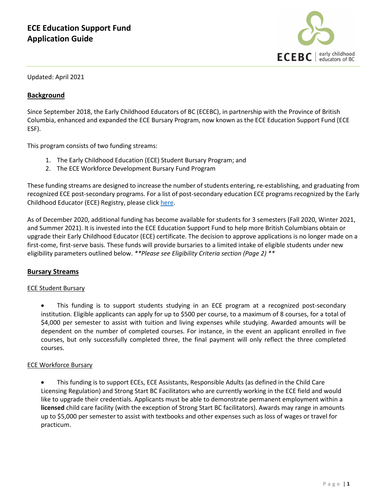

Updated: April 2021

## **Background**

Since September 2018, the Early Childhood Educators of BC (ECEBC), in partnership with the Province of British Columbia, enhanced and expanded the ECE Bursary Program, now known as the ECE Education Support Fund (ECE ESF).

This program consists of two funding streams:

- 1. The Early Childhood Education (ECE) Student Bursary Program; and
- 2. The ECE Workforce Development Bursary Fund Program

These funding streams are designed to increase the number of students entering, re-establishing, and graduating from recognized ECE post-secondary programs. For a list of post-secondary education ECE programs recognized by the Early Childhood Educator (ECE) Registry, please click [here.](https://www2.gov.bc.ca/gov/content/education-training/early-learning/teach/training-and-professional-development/become-an-early-childhood-educator/recognized-ece-institutions)

As of December 2020, additional funding has become available for students for 3 semesters (Fall 2020, Winter 2021, and Summer 2021). It is invested into the ECE Education Support Fund to help more British Columbians obtain or upgrade their Early Childhood Educator (ECE) certificate. The decision to approve applications is no longer made on a first-come, first-serve basis. These funds will provide bursaries to a limited intake of eligible students under new eligibility parameters outlined below. *\*\*Please see Eligibility Criteria section (Page 2) \*\**

## **Bursary Streams**

#### ECE Student Bursary

• This funding is to support students studying in an ECE program at a recognized post-secondary institution. Eligible applicants can apply for up to \$500 per course, to a maximum of 8 courses, for a total of \$4,000 per semester to assist with tuition and living expenses while studying. Awarded amounts will be dependent on the number of completed courses. For instance, in the event an applicant enrolled in five courses, but only successfully completed three, the final payment will only reflect the three completed courses.

## ECE Workforce Bursary

• This funding is to support ECEs, ECE Assistants, Responsible Adults (as defined in the Child Care Licensing Regulation) and Strong Start BC Facilitators who are currently working in the ECE field and would like to upgrade their credentials. Applicants must be able to demonstrate permanent employment within a **licensed** child care facility (with the exception of Strong Start BC facilitators). Awards may range in amounts up to \$5,000 per semester to assist with textbooks and other expenses such as loss of wages or travel for practicum.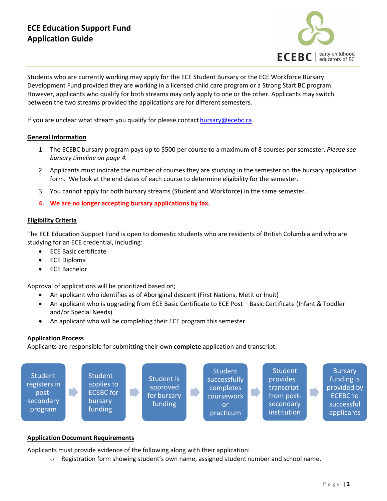

Students who are currently working may apply for the ECE Student Bursary or the ECE Workforce Bursary Development Fund provided they are working in a licensed child care program or a Strong Start BC program. However, applicants who qualify for both streams may only apply to one or the other. Applicants may switch between the two streams provided the applications are for different semesters.

If you are unclear what stream you qualify for please contact [bursary@ecebc.ca](mailto:bursary@ecebc.ca)

### **General Information**

- 1. The ECEBC bursary program pays up to \$500 per course to a maximum of 8 courses per semester. *Please see bursary timeline on page 4.*
- 2. Applicants must indicate the number of courses they are studying in the semester on the bursary application form. We look at the end dates of each course to determine eligibility for the semester.
- 3. You cannot apply for both bursary streams (Student and Workforce) in the same semester.
- **4. We are no longer accepting bursary applications by fax.**

### **Eligibility Criteria**

The ECE Education Support Fund is open to domestic students who are residents of British Columbia and who are studying for an ECE credential, including:

- ECE Basic certificate
- ECE Diploma
- ECE Bachelor

Approval of applications will be prioritized based on;

- An applicant who identifies as of Aboriginal descent (First Nations, Metit or Inuit)
- An applicant who is upgrading from ECE Basic Certificate to ECE Post Basic Certificate (Infant & Toddler and/or Special Needs)
- An applicant who will be completing their ECE program this semester

## **Application Process**

Applicants are responsible for submitting their own **complete** application and transcript.



#### **Application Document Requirements**

Applicants must provide evidence of the following along with their application:

Registration form showing student's own name, assigned student number and school name.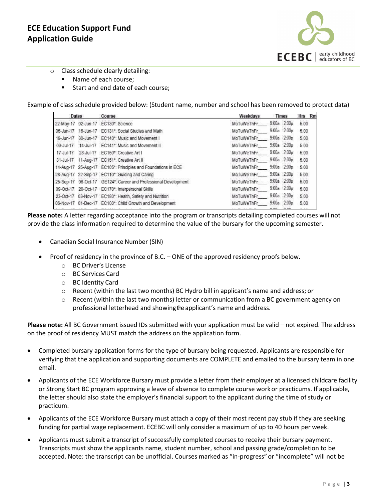

- o Class schedule clearly detailing:
	- Name of each course;
	- Start and end date of each course;

Example of class schedule provided below: (Student name, number and school has been removed to protect data)

| Dates           |  | Course                                                          | Weekdavs   | Times |                 | Hrs Rn |  |
|-----------------|--|-----------------------------------------------------------------|------------|-------|-----------------|--------|--|
| 22-May-17       |  | 02-Jun-17 EC130*: Science                                       | MoTuWeThFr |       | 9:00a 2:00p     | 5.00   |  |
| 05-Jun-17       |  | 16-Jun-17 EC131*: Social Studies and Math                       | MoTuWeThFr |       | 9:00a 2:00p     | 5.00   |  |
| 19-Jun-17       |  | 30-Jun-17 EC140*: Music and Movement I                          | MoTuWeThFr |       | $9:00a$ $2:00p$ | 5.00   |  |
| 03-Jul-17       |  | 14-Jul-17 EC141*: Music and Movement II                         | MoTuWeThFr |       | 9:00a 2:00p     | 5:00   |  |
| 17-Jul-17       |  | 28-Jul-17 EC150*: Creative Art I                                | MoTuWeThFr |       | $9:00a$ $2:00p$ | 5.00   |  |
| $31 - Jul - 17$ |  | 11-Aug-17 EC151*: Creative Art II                               | MoTuWeThFr |       | 9:00a 2:00p     | 5.00   |  |
|                 |  | 14-Aug-17 25-Aug-17 EC105*: Principles and Foundations in ECE   | MoTuWeThFr |       | $9:00a$ $2:00p$ | 5.00   |  |
|                 |  | 28-Aug-17 22-Sep-17 EC110*: Guiding and Caring                  | MoTuWeThFr |       | $9:00a$ $2:00b$ | 5.00   |  |
|                 |  | 25-Sep-17 06-Oct-17 GE124*: Career and Professional Development | MoTuWeThFr |       | 9:00a 2:00p     | 5.00   |  |
| 09-Oct-17       |  | 20-Oct-17 EC170*: Interpersonal Skills                          | MoTuWeThFr |       | 9:00a 2:00p     | 5.00   |  |
|                 |  | 23-Oct-17 03-Nov-17 EC180* Health, Safety and Nutrition         | MoTuWeThFr |       | 9:00a 2:00p     | 5.00   |  |
|                 |  | 06-Nov-17 01-Dec-17 EC100*: Child Growth and Development        | MoTuWeThFr |       | 9:00a 2:00p     | 5.00   |  |

**Please note:** A letter regarding acceptance into the program or transcripts detailing completed courses will not provide the class information required to determine the value of the bursary for the upcoming semester.

- Canadian Social Insurance Number (SIN)
- Proof of residency in the province of B.C. ONE of the approved residency proofs below.
	- o BC Driver's License
	- o BC Services Card
	- o BC Identity Card
	- o Recent (within the last two months) BC Hydro bill in applicant's name and address; or
	- o Recent (within the last two months) letter or communication from a BC government agency on professional letterhead and showing the applicant's name and address.

**Please note:** All BC Government issued IDs submitted with your application must be valid – not expired. The address on the proof of residency MUST match the address on the application form.

- Completed bursary application forms for the type of bursary being requested. Applicants are responsible for verifying that the application and supporting documents are COMPLETE and emailed to the bursary team in one email.
- Applicants of the ECE Workforce Bursary must provide a letter from their employer at a licensed childcare facility or Strong Start BC program approving a leave of absence to complete course work or practicums. If applicable, the letter should also state the employer's financial support to the applicant during the time of study or practicum.
- Applicants of the ECE Workforce Bursary must attach a copy of their most recent pay stub if they are seeking funding for partial wage replacement. ECEBC will only consider a maximum of up to 40 hours per week.
- Applicants must submit a transcript of successfully completed courses to receive their bursary payment. Transcripts must show the applicants name, student number, school and passing grade/completion to be accepted. Note: the transcript can be unofficial. Courses marked as "in-progress" or "incomplete" will not be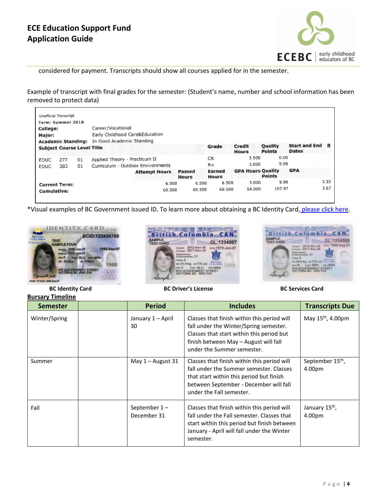

considered for payment. Transcripts should show all courses applied for in the semester.

Example of transcript with final grades for the semester: (Student's name, number and school information has been removed to protect data)

|                                   | <b>Unofficial Transcript</b> |    |                                   |                      |                        |                        |                          |                                 |                                 |      |
|-----------------------------------|------------------------------|----|-----------------------------------|----------------------|------------------------|------------------------|--------------------------|---------------------------------|---------------------------------|------|
| Term: Summer 2018                 |                              |    |                                   |                      |                        |                        |                          |                                 |                                 |      |
| College:                          |                              |    | Career/Vocational                 |                      |                        |                        |                          |                                 |                                 |      |
| Major:                            |                              |    | Early Childhood Care&Education    |                      |                        |                        |                          |                                 |                                 |      |
| <b>Academic Standing:</b>         |                              |    | In Good Academic Standing         |                      |                        |                        |                          |                                 |                                 |      |
| <b>Subject Course Level Title</b> |                              |    |                                   |                      |                        | Grade                  | Credit<br><b>Hours</b>   | <b>Quality</b><br><b>Points</b> | Start and End R<br><b>Dates</b> |      |
| <b>EDUC</b>                       | 277                          | 01 | Applied Theory - Practicum II     |                      |                        | CR.                    | 3.500                    | 0.00                            |                                 |      |
| FDUC.                             | 383                          | 01 | Curriculum - Outdoor Environments |                      |                        | $B +$                  | 3.000                    | 9.99                            |                                 |      |
|                                   |                              |    |                                   | <b>Attempt Hours</b> | Passed<br><b>Hours</b> | Earned<br><b>Hours</b> | <b>GPA Hours Quality</b> | <b>Points</b>                   | <b>GPA</b>                      |      |
|                                   | <b>Current Term:</b>         |    |                                   | 6.500                | 6.500                  | 6.500                  | 3.000                    | 9.99                            |                                 | 3.33 |
| <b>Cumulative:</b>                |                              |    |                                   | 60.500               | 60.500                 | 60.500                 | 54,000                   | 197.97                          |                                 | 3.67 |

\*Visual examples of BC Government issued ID. To learn more about obtaining a BC Identity Card, [please click](https://www.icbc.com/driver-licensing/getting-licensed/Pages/Apply-for-an-enhanced-licence-ID-or-BCID.aspx) here.







 **BC Identity Card BC Driver's License BC Services Card Bursary Timeline**

| <b>Semester</b> | <b>Period</b>                  | <b>Includes</b>                                                                                                                                                                                           | <b>Transcripts Due</b>                 |
|-----------------|--------------------------------|-----------------------------------------------------------------------------------------------------------------------------------------------------------------------------------------------------------|----------------------------------------|
| Winter/Spring   | January 1 – April<br>30        | Classes that finish within this period will<br>fall under the Winter/Spring semester.<br>Classes that start within this period but<br>finish between May - August will fall<br>under the Summer semester. | May 15 <sup>th</sup> , 4.00pm          |
| Summer          | May $1 -$ August 31            | Classes that finish within this period will<br>fall under the Summer semester. Classes<br>that start within this period but finish<br>between September - December will fall<br>under the Fall semester.  | September 15 <sup>th</sup> ,<br>4.00pm |
| Fall            | September $1 -$<br>December 31 | Classes that finish within this period will<br>fall under the Fall semester. Classes that<br>start within this period but finish between<br>January - April will fall under the Winter<br>semester.       | January 15 <sup>th</sup> ,<br>4.00pm   |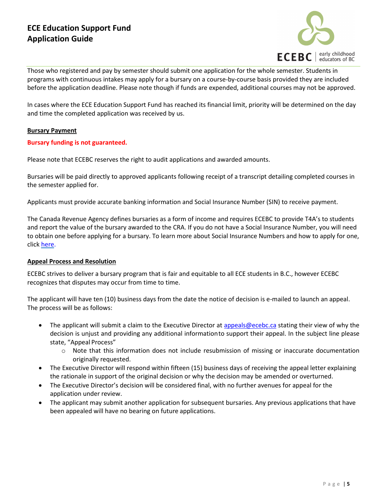

Those who registered and pay by semester should submit one application for the whole semester. Students in programs with continuous intakes may apply for a bursary on a course-by-course basis provided they are included before the application deadline. Please note though if funds are expended, additional courses may not be approved.

In cases where the ECE Education Support Fund has reached its financial limit, priority will be determined on the day and time the completed application was received by us.

## **Bursary Payment**

## **Bursary funding is not guaranteed.**

Please note that ECEBC reserves the right to audit applications and awarded amounts.

Bursaries will be paid directly to approved applicants following receipt of a transcript detailing completed courses in the semester applied for.

Applicants must provide accurate banking information and Social Insurance Number (SIN) to receive payment.

The Canada Revenue Agency defines bursaries as a form of income and requires ECEBC to provide T4A's to students and report the value of the bursary awarded to the CRA. If you do not have a Social Insurance Number, you will need to obtain one before applying for a bursary. To learn more about Social Insurance Numbers and how to apply for one, click [here.](https://www.canada.ca/en/employment-social-development/services/sin.html)

## **Appeal Process and Resolution**

ECEBC strives to deliver a bursary program that is fair and equitable to all ECE students in B.C., however ECEBC recognizes that disputes may occur from time to time.

The applicant will have ten (10) business days from the date the notice of decision is e-mailed to launch an appeal. The process will be as follows:

- The applicant will submit a claim to the Executive Director at [appeals@ecebc.ca](mailto:appeals@ecebc.ca) stating their view of why the decision is unjust and providing any additional informationto support their appeal. In the subject line please state, "Appeal Process"
	- o Note that this information does not include resubmission of missing or inaccurate documentation originally requested.
- The Executive Director will respond within fifteen (15) business days of receiving the appeal letter explaining the rationale in support of the original decision or why the decision may be amended or overturned.
- The Executive Director's decision will be considered final, with no further avenues for appeal for the application under review.
- The applicant may submit another application for subsequent bursaries. Any previous applications that have been appealed will have no bearing on future applications.